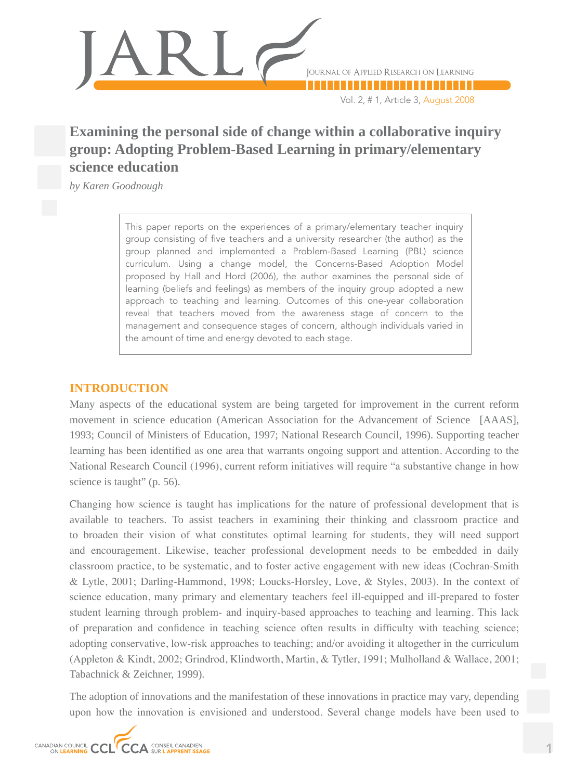

Vol. 2, # 1, Article 3, August 2008

# **Examining the personal side of change within a collaborative inquiry group: Adopting Problem-Based Learning in primary/elementary science education**

*by Karen Goodnough*

This paper reports on the experiences of a primary/elementary teacher inquiry group consisting of five teachers and a university researcher (the author) as the group planned and implemented a Problem-Based Learning (PBL) science curriculum. Using a change model, the Concerns-Based Adoption Model proposed by Hall and Hord (2006), the author examines the personal side of learning (beliefs and feelings) as members of the inquiry group adopted a new approach to teaching and learning. Outcomes of this one-year collaboration reveal that teachers moved from the awareness stage of concern to the management and consequence stages of concern, although individuals varied in the amount of time and energy devoted to each stage.

### **INTRODUCTION**

Many aspects of the educational system are being targeted for improvement in the current reform movement in science education (American Association for the Advancement of Science [AAAS], 1993; Council of Ministers of Education, 1997; National Research Council, 1996). Supporting teacher learning has been identified as one area that warrants ongoing support and attention. According to the National Research Council (1996), current reform initiatives will require "a substantive change in how science is taught" (p. 56).

Changing how science is taught has implications for the nature of professional development that is available to teachers. To assist teachers in examining their thinking and classroom practice and to broaden their vision of what constitutes optimal learning for students, they will need support and encouragement. Likewise, teacher professional development needs to be embedded in daily classroom practice, to be systematic, and to foster active engagement with new ideas (Cochran-Smith & Lytle, 2001; Darling-Hammond, 1998; Loucks-Horsley, Love, & Styles, 2003). In the context of science education, many primary and elementary teachers feel ill-equipped and ill-prepared to foster student learning through problem- and inquiry-based approaches to teaching and learning. This lack of preparation and confidence in teaching science often results in difficulty with teaching science; adopting conservative, low-risk approaches to teaching; and/or avoiding it altogether in the curriculum (Appleton & Kindt, 2002; Grindrod, Klindworth, Martin, & Tytler, 1991; Mulholland & Wallace, 2001; Tabachnick & Zeichner, 1999).

The adoption of innovations and the manifestation of these innovations in practice may vary, depending upon how the innovation is envisioned and understood. Several change models have been used to

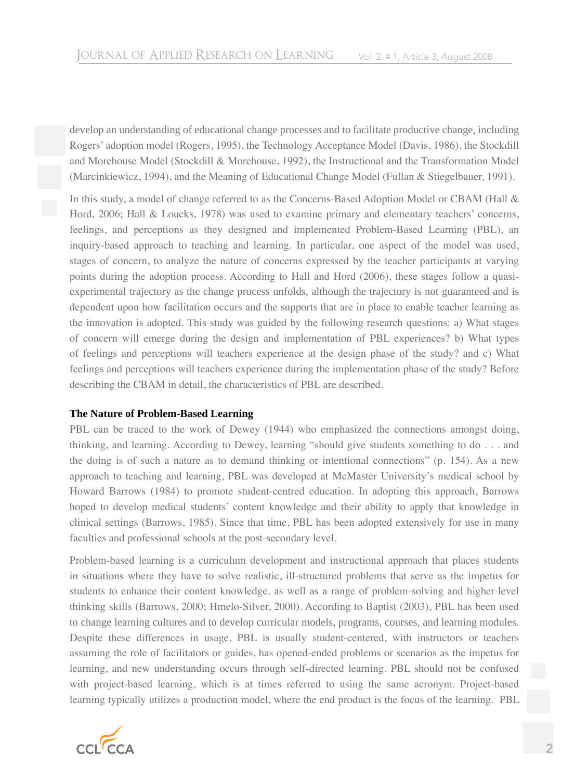develop an understanding of educational change processes and to facilitate productive change, including Rogers' adoption model (Rogers, 1995), the Technology Acceptance Model (Davis, 1986), the Stockdill and Morehouse Model (Stockdill & Morehouse, 1992), the Instructional and the Transformation Model (Marcinkiewicz, 1994), and the Meaning of Educational Change Model (Fullan & Stiegelbauer, 1991).

In this study, a model of change referred to as the Concerns-Based Adoption Model or CBAM (Hall & Hord, 2006; Hall & Loucks, 1978) was used to examine primary and elementary teachers' concerns, feelings, and perceptions as they designed and implemented Problem-Based Learning (PBL), an inquiry-based approach to teaching and learning. In particular, one aspect of the model was used, stages of concern, to analyze the nature of concerns expressed by the teacher participants at varying points during the adoption process. According to Hall and Hord (2006), these stages follow a quasiexperimental trajectory as the change process unfolds, although the trajectory is not guaranteed and is dependent upon how facilitation occurs and the supports that are in place to enable teacher learning as the innovation is adopted. This study was guided by the following research questions: a) What stages of concern will emerge during the design and implementation of PBL experiences? b) What types of feelings and perceptions will teachers experience at the design phase of the study? and c) What feelings and perceptions will teachers experience during the implementation phase of the study? Before describing the CBAM in detail, the characteristics of PBL are described.

### **The Nature of Problem-Based Learning**

PBL can be traced to the work of Dewey (1944) who emphasized the connections amongst doing, thinking, and learning. According to Dewey, learning "should give students something to do . . . and the doing is of such a nature as to demand thinking or intentional connections" (p. 154). As a new approach to teaching and learning, PBL was developed at McMaster University's medical school by Howard Barrows (1984) to promote student-centred education. In adopting this approach, Barrows hoped to develop medical students' content knowledge and their ability to apply that knowledge in clinical settings (Barrows, 1985). Since that time, PBL has been adopted extensively for use in many faculties and professional schools at the post-secondary level.

Problem-based learning is a curriculum development and instructional approach that places students in situations where they have to solve realistic, ill-structured problems that serve as the impetus for students to enhance their content knowledge, as well as a range of problem-solving and higher-level thinking skills (Barrows, 2000; Hmelo-Silver, 2000). According to Baptist (2003), PBL has been used to change learning cultures and to develop curricular models, programs, courses, and learning modules. Despite these differences in usage, PBL is usually student-centered, with instructors or teachers assuming the role of facilitators or guides, has opened-ended problems or scenarios as the impetus for learning, and new understanding occurs through self-directed learning. PBL should not be confused with project-based learning, which is at times referred to using the same acronym. Project-based learning typically utilizes a production model, where the end product is the focus of the learning. PBL

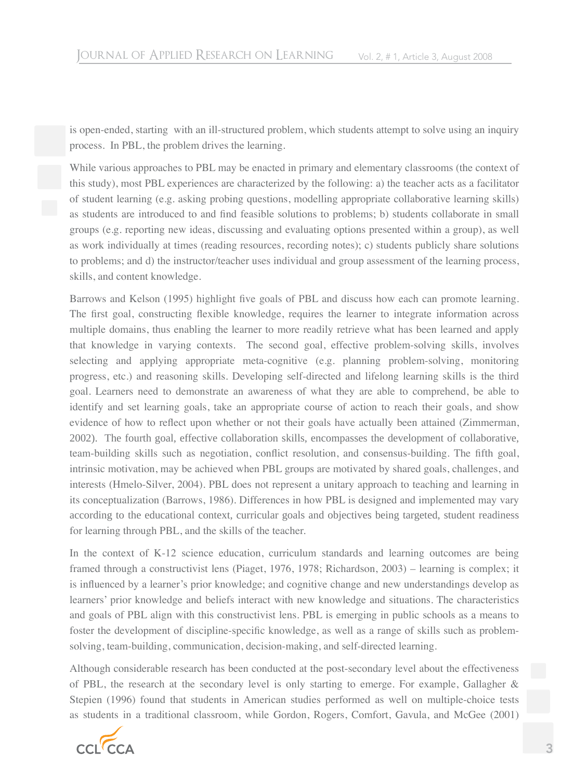is open-ended, starting with an ill-structured problem, which students attempt to solve using an inquiry process. In PBL, the problem drives the learning.

While various approaches to PBL may be enacted in primary and elementary classrooms (the context of this study), most PBL experiences are characterized by the following: a) the teacher acts as a facilitator of student learning (e.g. asking probing questions, modelling appropriate collaborative learning skills) as students are introduced to and find feasible solutions to problems; b) students collaborate in small groups (e.g. reporting new ideas, discussing and evaluating options presented within a group), as well as work individually at times (reading resources, recording notes); c) students publicly share solutions to problems; and d) the instructor/teacher uses individual and group assessment of the learning process, skills, and content knowledge.

Barrows and Kelson (1995) highlight five goals of PBL and discuss how each can promote learning. The first goal, constructing flexible knowledge, requires the learner to integrate information across multiple domains, thus enabling the learner to more readily retrieve what has been learned and apply that knowledge in varying contexts. The second goal, effective problem-solving skills, involves selecting and applying appropriate meta-cognitive (e.g. planning problem-solving, monitoring progress, etc.) and reasoning skills. Developing self-directed and lifelong learning skills is the third goal. Learners need to demonstrate an awareness of what they are able to comprehend, be able to identify and set learning goals, take an appropriate course of action to reach their goals, and show evidence of how to reflect upon whether or not their goals have actually been attained (Zimmerman, 2002). The fourth goal, effective collaboration skills, encompasses the development of collaborative, team-building skills such as negotiation, conflict resolution, and consensus-building. The fifth goal, intrinsic motivation, may be achieved when PBL groups are motivated by shared goals, challenges, and interests (Hmelo-Silver, 2004). PBL does not represent a unitary approach to teaching and learning in its conceptualization (Barrows, 1986). Differences in how PBL is designed and implemented may vary according to the educational context, curricular goals and objectives being targeted, student readiness for learning through PBL, and the skills of the teacher.

In the context of K-12 science education, curriculum standards and learning outcomes are being framed through a constructivist lens (Piaget, 1976, 1978; Richardson, 2003) – learning is complex; it is influenced by a learner's prior knowledge; and cognitive change and new understandings develop as learners' prior knowledge and beliefs interact with new knowledge and situations. The characteristics and goals of PBL align with this constructivist lens. PBL is emerging in public schools as a means to foster the development of discipline-specific knowledge, as well as a range of skills such as problemsolving, team-building, communication, decision-making, and self-directed learning.

Although considerable research has been conducted at the post-secondary level about the effectiveness of PBL, the research at the secondary level is only starting to emerge. For example, Gallagher & Stepien (1996) found that students in American studies performed as well on multiple-choice tests as students in a traditional classroom, while Gordon, Rogers, Comfort, Gavula, and McGee (2001)

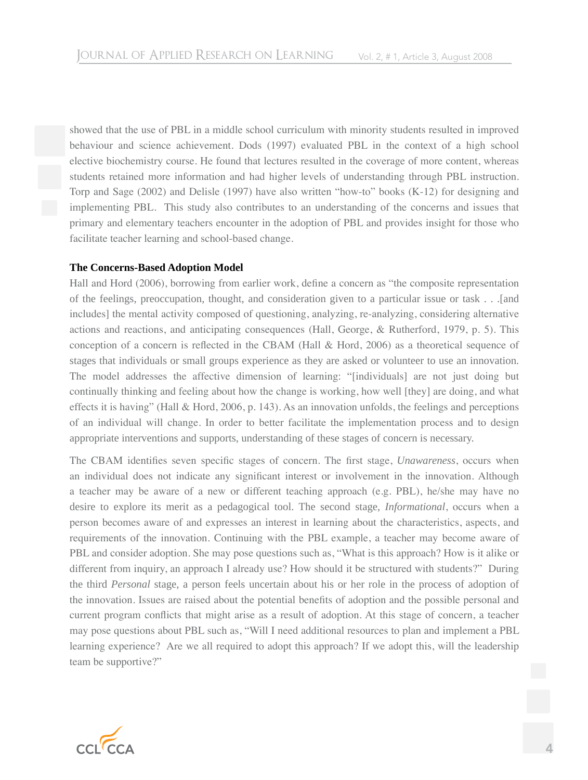showed that the use of PBL in a middle school curriculum with minority students resulted in improved behaviour and science achievement. Dods (1997) evaluated PBL in the context of a high school elective biochemistry course. He found that lectures resulted in the coverage of more content, whereas students retained more information and had higher levels of understanding through PBL instruction. Torp and Sage (2002) and Delisle (1997) have also written "how-to" books (K-12) for designing and implementing PBL. This study also contributes to an understanding of the concerns and issues that primary and elementary teachers encounter in the adoption of PBL and provides insight for those who facilitate teacher learning and school-based change.

### **The Concerns-Based Adoption Model**

Hall and Hord (2006), borrowing from earlier work, define a concern as "the composite representation of the feelings, preoccupation, thought, and consideration given to a particular issue or task . . .[and includes] the mental activity composed of questioning, analyzing, re-analyzing, considering alternative actions and reactions, and anticipating consequences (Hall, George, & Rutherford, 1979, p. 5). This conception of a concern is reflected in the CBAM (Hall & Hord, 2006) as a theoretical sequence of stages that individuals or small groups experience as they are asked or volunteer to use an innovation. The model addresses the affective dimension of learning: "[individuals] are not just doing but continually thinking and feeling about how the change is working, how well [they] are doing, and what effects it is having" (Hall & Hord, 2006, p. 143). As an innovation unfolds, the feelings and perceptions of an individual will change. In order to better facilitate the implementation process and to design appropriate interventions and supports, understanding of these stages of concern is necessary.

The CBAM identifies seven specific stages of concern. The first stage, *Unawareness*, occurs when an individual does not indicate any significant interest or involvement in the innovation. Although a teacher may be aware of a new or different teaching approach (e.g. PBL), he/she may have no desire to explore its merit as a pedagogical tool. The second stage, *Informational*, occurs when a person becomes aware of and expresses an interest in learning about the characteristics, aspects, and requirements of the innovation. Continuing with the PBL example, a teacher may become aware of PBL and consider adoption. She may pose questions such as, "What is this approach? How is it alike or different from inquiry, an approach I already use? How should it be structured with students?" During the third *Personal* stage, a person feels uncertain about his or her role in the process of adoption of the innovation. Issues are raised about the potential benefits of adoption and the possible personal and current program conflicts that might arise as a result of adoption. At this stage of concern, a teacher may pose questions about PBL such as, "Will I need additional resources to plan and implement a PBL learning experience? Are we all required to adopt this approach? If we adopt this, will the leadership team be supportive?"

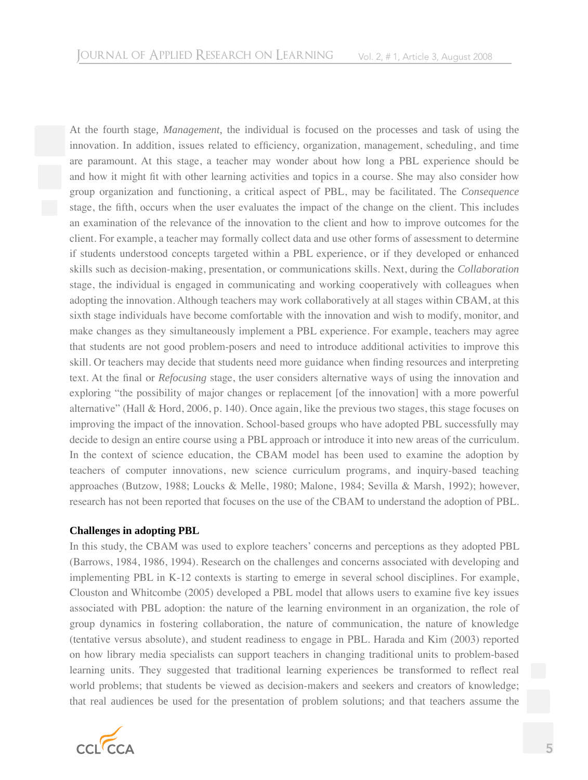At the fourth stage, *Management*, the individual is focused on the processes and task of using the innovation. In addition, issues related to efficiency, organization, management, scheduling, and time are paramount. At this stage, a teacher may wonder about how long a PBL experience should be and how it might fit with other learning activities and topics in a course. She may also consider how group organization and functioning, a critical aspect of PBL, may be facilitated. The *Consequence* stage, the fifth, occurs when the user evaluates the impact of the change on the client. This includes an examination of the relevance of the innovation to the client and how to improve outcomes for the client. For example, a teacher may formally collect data and use other forms of assessment to determine if students understood concepts targeted within a PBL experience, or if they developed or enhanced skills such as decision-making, presentation, or communications skills. Next, during the *Collaboration* stage, the individual is engaged in communicating and working cooperatively with colleagues when adopting the innovation. Although teachers may work collaboratively at all stages within CBAM, at this sixth stage individuals have become comfortable with the innovation and wish to modify, monitor, and make changes as they simultaneously implement a PBL experience. For example, teachers may agree that students are not good problem-posers and need to introduce additional activities to improve this skill. Or teachers may decide that students need more guidance when finding resources and interpreting text. At the final or *Refocusing* stage, the user considers alternative ways of using the innovation and exploring "the possibility of major changes or replacement [of the innovation] with a more powerful alternative" (Hall & Hord, 2006, p. 140). Once again, like the previous two stages, this stage focuses on improving the impact of the innovation. School-based groups who have adopted PBL successfully may decide to design an entire course using a PBL approach or introduce it into new areas of the curriculum. In the context of science education, the CBAM model has been used to examine the adoption by teachers of computer innovations, new science curriculum programs, and inquiry-based teaching approaches (Butzow, 1988; Loucks & Melle, 1980; Malone, 1984; Sevilla & Marsh, 1992); however, research has not been reported that focuses on the use of the CBAM to understand the adoption of PBL.

### **Challenges in adopting PBL**

In this study, the CBAM was used to explore teachers' concerns and perceptions as they adopted PBL (Barrows, 1984, 1986, 1994). Research on the challenges and concerns associated with developing and implementing PBL in K-12 contexts is starting to emerge in several school disciplines. For example, Clouston and Whitcombe (2005) developed a PBL model that allows users to examine five key issues associated with PBL adoption: the nature of the learning environment in an organization, the role of group dynamics in fostering collaboration, the nature of communication, the nature of knowledge (tentative versus absolute), and student readiness to engage in PBL. Harada and Kim (2003) reported on how library media specialists can support teachers in changing traditional units to problem-based learning units. They suggested that traditional learning experiences be transformed to reflect real world problems; that students be viewed as decision-makers and seekers and creators of knowledge; that real audiences be used for the presentation of problem solutions; and that teachers assume the

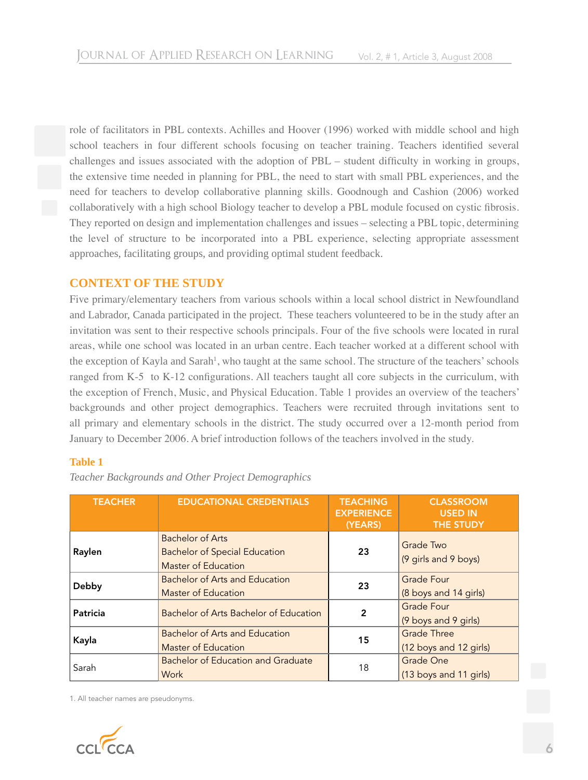role of facilitators in PBL contexts. Achilles and Hoover (1996) worked with middle school and high school teachers in four different schools focusing on teacher training. Teachers identified several challenges and issues associated with the adoption of PBL – student difficulty in working in groups, the extensive time needed in planning for PBL, the need to start with small PBL experiences, and the need for teachers to develop collaborative planning skills. Goodnough and Cashion (2006) worked collaboratively with a high school Biology teacher to develop a PBL module focused on cystic fibrosis. They reported on design and implementation challenges and issues – selecting a PBL topic, determining the level of structure to be incorporated into a PBL experience, selecting appropriate assessment approaches, facilitating groups, and providing optimal student feedback.

### **CONTEXT OF THE STUDY**

Five primary/elementary teachers from various schools within a local school district in Newfoundland and Labrador, Canada participated in the project. These teachers volunteered to be in the study after an invitation was sent to their respective schools principals. Four of the five schools were located in rural areas, while one school was located in an urban centre. Each teacher worked at a different school with the exception of Kayla and Sarah<sup>1</sup>, who taught at the same school. The structure of the teachers' schools ranged from K-5 to K-12 configurations. All teachers taught all core subjects in the curriculum, with the exception of French, Music, and Physical Education. Table 1 provides an overview of the teachers' backgrounds and other project demographics. Teachers were recruited through invitations sent to all primary and elementary schools in the district. The study occurred over a 12-month period from January to December 2006. A brief introduction follows of the teachers involved in the study.

### **Table 1**

| <b>TEACHER</b> | <b>EDUCATIONAL CREDENTIALS</b>                                                                | <b>TEACHING</b><br><b>EXPERIENCE</b><br>(YEARS) | <b>CLASSROOM</b><br><b>USED IN</b><br><b>THE STUDY</b> |
|----------------|-----------------------------------------------------------------------------------------------|-------------------------------------------------|--------------------------------------------------------|
| Raylen         | <b>Bachelor of Arts</b><br><b>Bachelor of Special Education</b><br><b>Master of Education</b> | 23                                              | <b>Grade Two</b><br>(9 girls and 9 boys)               |
| Debby          | <b>Bachelor of Arts and Education</b><br><b>Master of Education</b>                           | 23                                              | <b>Grade Four</b><br>(8 boys and 14 girls)             |
| Patricia       | Bachelor of Arts Bachelor of Education                                                        | 2                                               | <b>Grade Four</b><br>(9 boys and 9 girls)              |
| Kayla          | Bachelor of Arts and Education<br><b>Master of Education</b>                                  | 15                                              | <b>Grade Three</b><br>(12 boys and 12 girls)           |
| Sarah          | <b>Bachelor of Education and Graduate</b><br><b>Work</b>                                      | 18                                              | <b>Grade One</b><br>(13 boys and 11 girls)             |

*Teacher Backgrounds and Other Project Demographics*

1. All teacher names are pseudonyms.

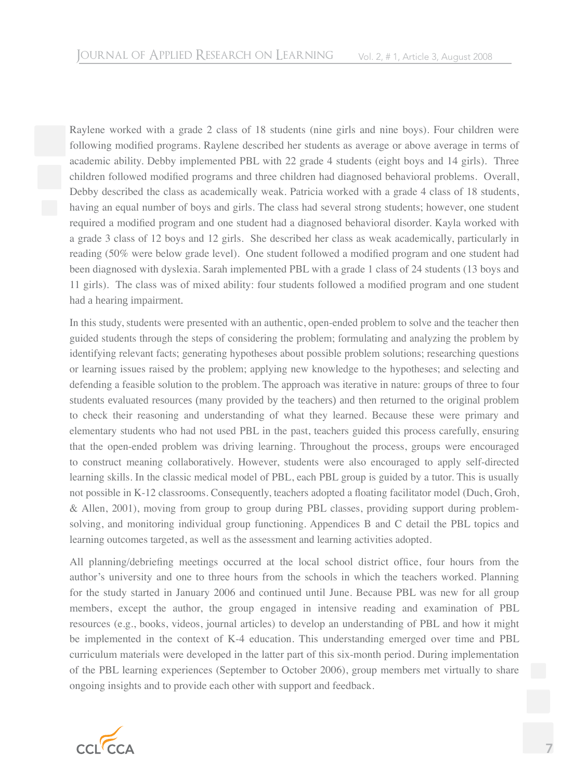Raylene worked with a grade 2 class of 18 students (nine girls and nine boys). Four children were following modified programs. Raylene described her students as average or above average in terms of academic ability. Debby implemented PBL with 22 grade 4 students (eight boys and 14 girls). Three children followed modified programs and three children had diagnosed behavioral problems. Overall, Debby described the class as academically weak. Patricia worked with a grade 4 class of 18 students, having an equal number of boys and girls. The class had several strong students; however, one student required a modified program and one student had a diagnosed behavioral disorder. Kayla worked with a grade 3 class of 12 boys and 12 girls. She described her class as weak academically, particularly in reading (50% were below grade level). One student followed a modified program and one student had been diagnosed with dyslexia. Sarah implemented PBL with a grade 1 class of 24 students (13 boys and 11 girls). The class was of mixed ability: four students followed a modified program and one student had a hearing impairment.

In this study, students were presented with an authentic, open-ended problem to solve and the teacher then guided students through the steps of considering the problem; formulating and analyzing the problem by identifying relevant facts; generating hypotheses about possible problem solutions; researching questions or learning issues raised by the problem; applying new knowledge to the hypotheses; and selecting and defending a feasible solution to the problem. The approach was iterative in nature: groups of three to four students evaluated resources (many provided by the teachers) and then returned to the original problem to check their reasoning and understanding of what they learned. Because these were primary and elementary students who had not used PBL in the past, teachers guided this process carefully, ensuring that the open-ended problem was driving learning. Throughout the process, groups were encouraged to construct meaning collaboratively. However, students were also encouraged to apply self-directed learning skills. In the classic medical model of PBL, each PBL group is guided by a tutor. This is usually not possible in K-12 classrooms. Consequently, teachers adopted a floating facilitator model (Duch, Groh, & Allen, 2001), moving from group to group during PBL classes, providing support during problemsolving, and monitoring individual group functioning. Appendices B and C detail the PBL topics and learning outcomes targeted, as well as the assessment and learning activities adopted.

All planning/debriefing meetings occurred at the local school district office, four hours from the author's university and one to three hours from the schools in which the teachers worked. Planning for the study started in January 2006 and continued until June. Because PBL was new for all group members, except the author, the group engaged in intensive reading and examination of PBL resources (e.g., books, videos, journal articles) to develop an understanding of PBL and how it might be implemented in the context of K-4 education. This understanding emerged over time and PBL curriculum materials were developed in the latter part of this six-month period. During implementation of the PBL learning experiences (September to October 2006), group members met virtually to share ongoing insights and to provide each other with support and feedback.

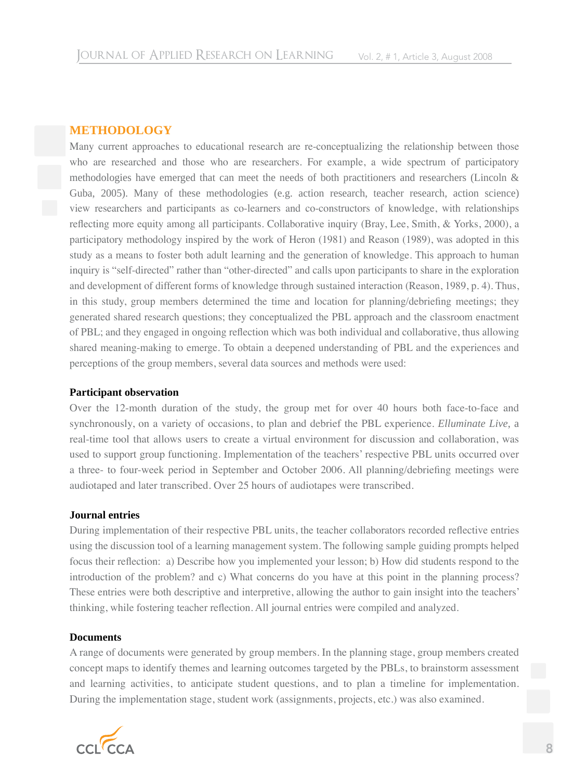### **METHODOLOGY**

Many current approaches to educational research are re-conceptualizing the relationship between those who are researched and those who are researchers. For example, a wide spectrum of participatory methodologies have emerged that can meet the needs of both practitioners and researchers (Lincoln & Guba, 2005). Many of these methodologies (e.g. action research, teacher research, action science) view researchers and participants as co-learners and co-constructors of knowledge, with relationships reflecting more equity among all participants. Collaborative inquiry (Bray, Lee, Smith, & Yorks, 2000), a participatory methodology inspired by the work of Heron (1981) and Reason (1989), was adopted in this study as a means to foster both adult learning and the generation of knowledge. This approach to human inquiry is "self-directed" rather than "other-directed" and calls upon participants to share in the exploration and development of different forms of knowledge through sustained interaction (Reason, 1989, p. 4). Thus, in this study, group members determined the time and location for planning/debriefing meetings; they generated shared research questions; they conceptualized the PBL approach and the classroom enactment of PBL; and they engaged in ongoing reflection which was both individual and collaborative, thus allowing shared meaning-making to emerge. To obtain a deepened understanding of PBL and the experiences and perceptions of the group members, several data sources and methods were used:

#### **Participant observation**

Over the 12-month duration of the study, the group met for over 40 hours both face-to-face and synchronously, on a variety of occasions, to plan and debrief the PBL experience. *Elluminate Live*, a real-time tool that allows users to create a virtual environment for discussion and collaboration, was used to support group functioning. Implementation of the teachers' respective PBL units occurred over a three- to four-week period in September and October 2006. All planning/debriefing meetings were audiotaped and later transcribed. Over 25 hours of audiotapes were transcribed.

#### **Journal entries**

During implementation of their respective PBL units, the teacher collaborators recorded reflective entries using the discussion tool of a learning management system. The following sample guiding prompts helped focus their reflection: a) Describe how you implemented your lesson; b) How did students respond to the introduction of the problem? and c) What concerns do you have at this point in the planning process? These entries were both descriptive and interpretive, allowing the author to gain insight into the teachers' thinking, while fostering teacher reflection. All journal entries were compiled and analyzed.

### **Documents**

A range of documents were generated by group members. In the planning stage, group members created concept maps to identify themes and learning outcomes targeted by the PBLs, to brainstorm assessment and learning activities, to anticipate student questions, and to plan a timeline for implementation. During the implementation stage, student work (assignments, projects, etc.) was also examined.

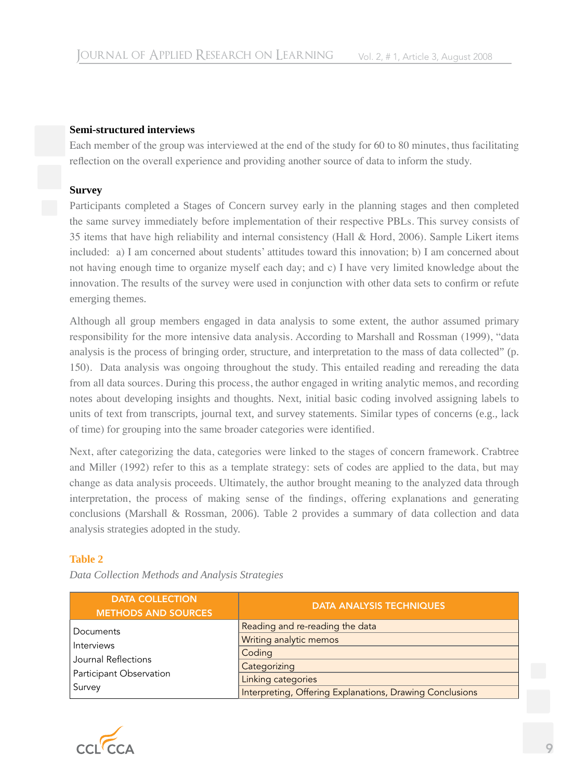### **Semi-structured interviews**

Each member of the group was interviewed at the end of the study for 60 to 80 minutes, thus facilitating reflection on the overall experience and providing another source of data to inform the study.

### **Survey**

Participants completed a Stages of Concern survey early in the planning stages and then completed the same survey immediately before implementation of their respective PBLs. This survey consists of 35 items that have high reliability and internal consistency (Hall & Hord, 2006). Sample Likert items included: a) I am concerned about students' attitudes toward this innovation; b) I am concerned about not having enough time to organize myself each day; and c) I have very limited knowledge about the innovation. The results of the survey were used in conjunction with other data sets to confirm or refute emerging themes.

Although all group members engaged in data analysis to some extent, the author assumed primary responsibility for the more intensive data analysis. According to Marshall and Rossman (1999), "data analysis is the process of bringing order, structure, and interpretation to the mass of data collected" (p. 150). Data analysis was ongoing throughout the study. This entailed reading and rereading the data from all data sources. During this process, the author engaged in writing analytic memos, and recording notes about developing insights and thoughts. Next, initial basic coding involved assigning labels to units of text from transcripts, journal text, and survey statements. Similar types of concerns (e.g., lack of time) for grouping into the same broader categories were identified.

Next, after categorizing the data, categories were linked to the stages of concern framework. Crabtree and Miller (1992) refer to this as a template strategy: sets of codes are applied to the data, but may change as data analysis proceeds. Ultimately, the author brought meaning to the analyzed data through interpretation, the process of making sense of the findings, offering explanations and generating conclusions (Marshall & Rossman, 2006). Table 2 provides a summary of data collection and data analysis strategies adopted in the study.

### **Table 2**

| <b>DATA COLLECTION</b><br><b>METHODS AND SOURCES</b> | <b>DATA ANALYSIS TECHNIQUES</b>                          |
|------------------------------------------------------|----------------------------------------------------------|
| Documents                                            | Reading and re-reading the data                          |
| Interviews                                           | Writing analytic memos                                   |
| Journal Reflections                                  | Coding                                                   |
|                                                      | Categorizing                                             |
| <b>Participant Observation</b>                       | Linking categories                                       |
| Survey                                               | Interpreting, Offering Explanations, Drawing Conclusions |

*Data Collection Methods and Analysis Strategies*

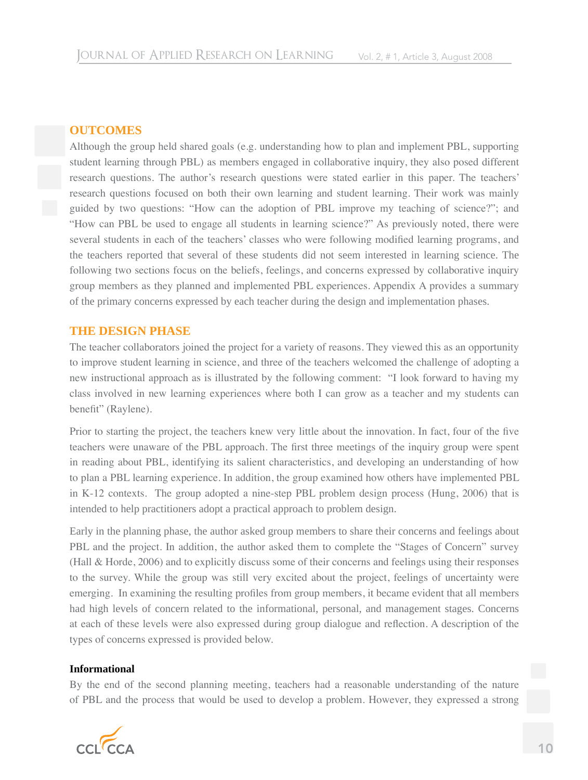### **OUTCOMES**

Although the group held shared goals (e.g. understanding how to plan and implement PBL, supporting student learning through PBL) as members engaged in collaborative inquiry, they also posed different research questions. The author's research questions were stated earlier in this paper. The teachers' research questions focused on both their own learning and student learning. Their work was mainly guided by two questions: "How can the adoption of PBL improve my teaching of science?"; and "How can PBL be used to engage all students in learning science?" As previously noted, there were several students in each of the teachers' classes who were following modified learning programs, and the teachers reported that several of these students did not seem interested in learning science. The following two sections focus on the beliefs, feelings, and concerns expressed by collaborative inquiry group members as they planned and implemented PBL experiences. Appendix A provides a summary of the primary concerns expressed by each teacher during the design and implementation phases.

### **THE DESIGN PHASE**

The teacher collaborators joined the project for a variety of reasons. They viewed this as an opportunity to improve student learning in science, and three of the teachers welcomed the challenge of adopting a new instructional approach as is illustrated by the following comment: "I look forward to having my class involved in new learning experiences where both I can grow as a teacher and my students can benefit" (Raylene).

Prior to starting the project, the teachers knew very little about the innovation. In fact, four of the five teachers were unaware of the PBL approach. The first three meetings of the inquiry group were spent in reading about PBL, identifying its salient characteristics, and developing an understanding of how to plan a PBL learning experience. In addition, the group examined how others have implemented PBL in K-12 contexts. The group adopted a nine-step PBL problem design process (Hung, 2006) that is intended to help practitioners adopt a practical approach to problem design.

Early in the planning phase, the author asked group members to share their concerns and feelings about PBL and the project. In addition, the author asked them to complete the "Stages of Concern" survey (Hall & Horde, 2006) and to explicitly discuss some of their concerns and feelings using their responses to the survey. While the group was still very excited about the project, feelings of uncertainty were emerging. In examining the resulting profiles from group members, it became evident that all members had high levels of concern related to the informational, personal, and management stages. Concerns at each of these levels were also expressed during group dialogue and reflection. A description of the types of concerns expressed is provided below.

### **Informational**

By the end of the second planning meeting, teachers had a reasonable understanding of the nature of PBL and the process that would be used to develop a problem. However, they expressed a strong

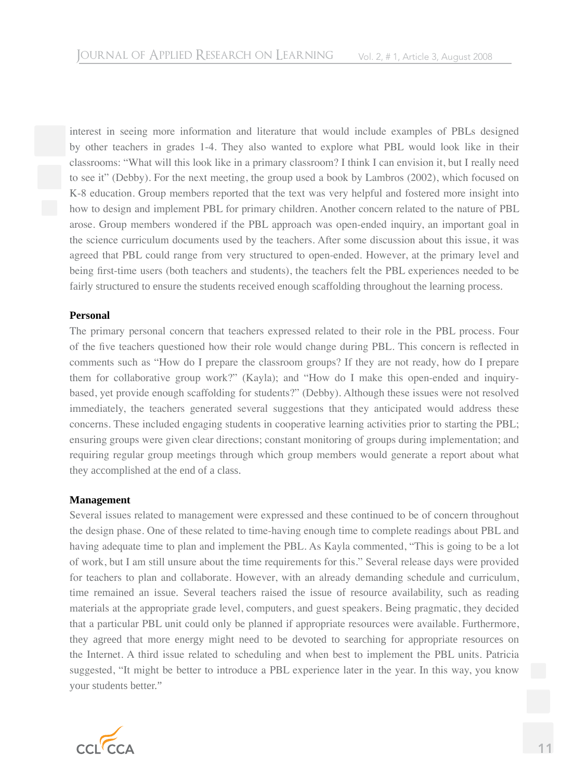interest in seeing more information and literature that would include examples of PBLs designed by other teachers in grades 1-4. They also wanted to explore what PBL would look like in their classrooms: "What will this look like in a primary classroom? I think I can envision it, but I really need to see it" (Debby). For the next meeting, the group used a book by Lambros (2002), which focused on K-8 education. Group members reported that the text was very helpful and fostered more insight into how to design and implement PBL for primary children. Another concern related to the nature of PBL arose. Group members wondered if the PBL approach was open-ended inquiry, an important goal in the science curriculum documents used by the teachers. After some discussion about this issue, it was agreed that PBL could range from very structured to open-ended. However, at the primary level and being first-time users (both teachers and students), the teachers felt the PBL experiences needed to be fairly structured to ensure the students received enough scaffolding throughout the learning process.

#### **Personal**

The primary personal concern that teachers expressed related to their role in the PBL process. Four of the five teachers questioned how their role would change during PBL. This concern is reflected in comments such as "How do I prepare the classroom groups? If they are not ready, how do I prepare them for collaborative group work?" (Kayla); and "How do I make this open-ended and inquirybased, yet provide enough scaffolding for students?" (Debby). Although these issues were not resolved immediately, the teachers generated several suggestions that they anticipated would address these concerns. These included engaging students in cooperative learning activities prior to starting the PBL; ensuring groups were given clear directions; constant monitoring of groups during implementation; and requiring regular group meetings through which group members would generate a report about what they accomplished at the end of a class.

#### **Management**

Several issues related to management were expressed and these continued to be of concern throughout the design phase. One of these related to time-having enough time to complete readings about PBL and having adequate time to plan and implement the PBL. As Kayla commented, "This is going to be a lot of work, but I am still unsure about the time requirements for this." Several release days were provided for teachers to plan and collaborate. However, with an already demanding schedule and curriculum, time remained an issue. Several teachers raised the issue of resource availability, such as reading materials at the appropriate grade level, computers, and guest speakers. Being pragmatic, they decided that a particular PBL unit could only be planned if appropriate resources were available. Furthermore, they agreed that more energy might need to be devoted to searching for appropriate resources on the Internet. A third issue related to scheduling and when best to implement the PBL units. Patricia suggested, "It might be better to introduce a PBL experience later in the year. In this way, you know your students better."

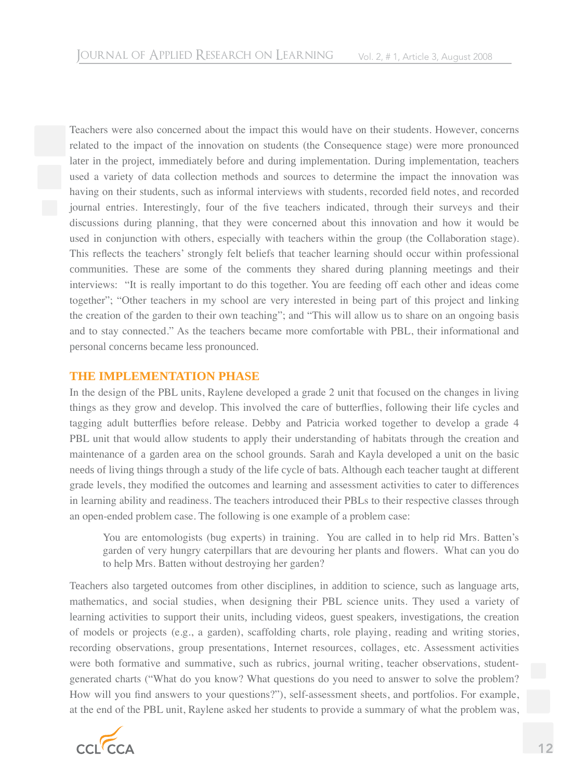Teachers were also concerned about the impact this would have on their students. However, concerns related to the impact of the innovation on students (the Consequence stage) were more pronounced later in the project, immediately before and during implementation. During implementation, teachers used a variety of data collection methods and sources to determine the impact the innovation was having on their students, such as informal interviews with students, recorded field notes, and recorded journal entries. Interestingly, four of the five teachers indicated, through their surveys and their discussions during planning, that they were concerned about this innovation and how it would be used in conjunction with others, especially with teachers within the group (the Collaboration stage). This reflects the teachers' strongly felt beliefs that teacher learning should occur within professional communities. These are some of the comments they shared during planning meetings and their interviews: "It is really important to do this together. You are feeding off each other and ideas come together"; "Other teachers in my school are very interested in being part of this project and linking the creation of the garden to their own teaching"; and "This will allow us to share on an ongoing basis and to stay connected." As the teachers became more comfortable with PBL, their informational and personal concerns became less pronounced.

### **THE IMPLEMENTATION PHASE**

In the design of the PBL units, Raylene developed a grade 2 unit that focused on the changes in living things as they grow and develop. This involved the care of butterflies, following their life cycles and tagging adult butterflies before release. Debby and Patricia worked together to develop a grade 4 PBL unit that would allow students to apply their understanding of habitats through the creation and maintenance of a garden area on the school grounds. Sarah and Kayla developed a unit on the basic needs of living things through a study of the life cycle of bats. Although each teacher taught at different grade levels, they modified the outcomes and learning and assessment activities to cater to differences in learning ability and readiness. The teachers introduced their PBLs to their respective classes through an open-ended problem case. The following is one example of a problem case:

You are entomologists (bug experts) in training. You are called in to help rid Mrs. Batten's garden of very hungry caterpillars that are devouring her plants and flowers. What can you do to help Mrs. Batten without destroying her garden?

Teachers also targeted outcomes from other disciplines, in addition to science, such as language arts, mathematics, and social studies, when designing their PBL science units. They used a variety of learning activities to support their units, including videos, guest speakers, investigations, the creation of models or projects (e.g., a garden), scaffolding charts, role playing, reading and writing stories, recording observations, group presentations, Internet resources, collages, etc. Assessment activities were both formative and summative, such as rubrics, journal writing, teacher observations, studentgenerated charts ("What do you know? What questions do you need to answer to solve the problem? How will you find answers to your questions?"), self-assessment sheets, and portfolios. For example, at the end of the PBL unit, Raylene asked her students to provide a summary of what the problem was,

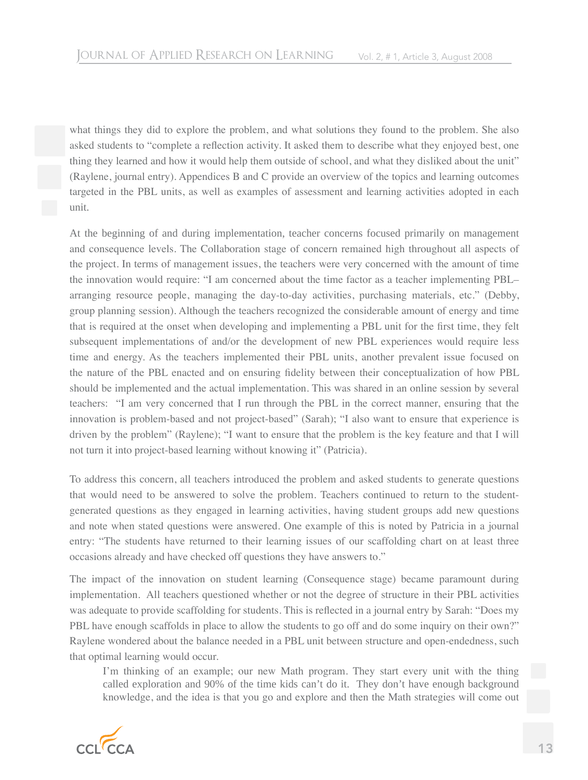what things they did to explore the problem, and what solutions they found to the problem. She also asked students to "complete a reflection activity. It asked them to describe what they enjoyed best, one thing they learned and how it would help them outside of school, and what they disliked about the unit" (Raylene, journal entry). Appendices B and C provide an overview of the topics and learning outcomes targeted in the PBL units, as well as examples of assessment and learning activities adopted in each unit.

At the beginning of and during implementation, teacher concerns focused primarily on management and consequence levels. The Collaboration stage of concern remained high throughout all aspects of the project. In terms of management issues, the teachers were very concerned with the amount of time the innovation would require: "I am concerned about the time factor as a teacher implementing PBL– arranging resource people, managing the day-to-day activities, purchasing materials, etc." (Debby, group planning session). Although the teachers recognized the considerable amount of energy and time that is required at the onset when developing and implementing a PBL unit for the first time, they felt subsequent implementations of and/or the development of new PBL experiences would require less time and energy. As the teachers implemented their PBL units, another prevalent issue focused on the nature of the PBL enacted and on ensuring fidelity between their conceptualization of how PBL should be implemented and the actual implementation. This was shared in an online session by several teachers: "I am very concerned that I run through the PBL in the correct manner, ensuring that the innovation is problem-based and not project-based" (Sarah); "I also want to ensure that experience is driven by the problem" (Raylene); "I want to ensure that the problem is the key feature and that I will not turn it into project-based learning without knowing it" (Patricia).

To address this concern, all teachers introduced the problem and asked students to generate questions that would need to be answered to solve the problem. Teachers continued to return to the studentgenerated questions as they engaged in learning activities, having student groups add new questions and note when stated questions were answered. One example of this is noted by Patricia in a journal entry: "The students have returned to their learning issues of our scaffolding chart on at least three occasions already and have checked off questions they have answers to."

The impact of the innovation on student learning (Consequence stage) became paramount during implementation. All teachers questioned whether or not the degree of structure in their PBL activities was adequate to provide scaffolding for students. This is reflected in a journal entry by Sarah: "Does my PBL have enough scaffolds in place to allow the students to go off and do some inquiry on their own?" Raylene wondered about the balance needed in a PBL unit between structure and open-endedness, such that optimal learning would occur.

I'm thinking of an example; our new Math program. They start every unit with the thing called exploration and 90% of the time kids can't do it. They don't have enough background knowledge, and the idea is that you go and explore and then the Math strategies will come out

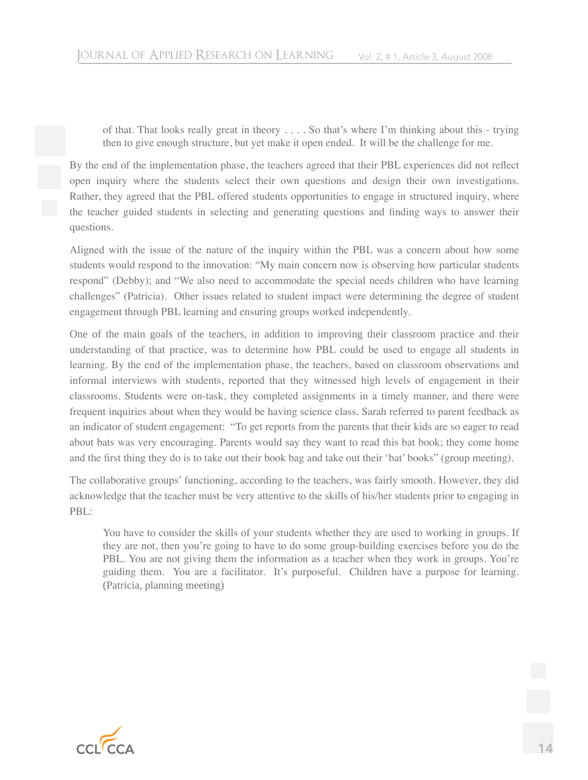of that. That looks really great in theory . . . . So that's where I'm thinking about this - trying then to give enough structure, but yet make it open ended. It will be the challenge for me.

By the end of the implementation phase, the teachers agreed that their PBL experiences did not reflect open inquiry where the students select their own questions and design their own investigations. Rather, they agreed that the PBL offered students opportunities to engage in structured inquiry, where the teacher guided students in selecting and generating questions and finding ways to answer their questions.

Aligned with the issue of the nature of the inquiry within the PBL was a concern about how some students would respond to the innovation: "My main concern now is observing how particular students respond" (Debby); and "We also need to accommodate the special needs children who have learning challenges" (Patricia). Other issues related to student impact were determining the degree of student engagement through PBL learning and ensuring groups worked independently.

One of the main goals of the teachers, in addition to improving their classroom practice and their understanding of that practice, was to determine how PBL could be used to engage all students in learning. By the end of the implementation phase, the teachers, based on classroom observations and informal interviews with students, reported that they witnessed high levels of engagement in their classrooms. Students were on-task, they completed assignments in a timely manner, and there were frequent inquiries about when they would be having science class. Sarah referred to parent feedback as an indicator of student engagement: "To get reports from the parents that their kids are so eager to read about bats was very encouraging. Parents would say they want to read this bat book; they come home and the first thing they do is to take out their book bag and take out their 'bat' books" (group meeting).

The collaborative groups' functioning, according to the teachers, was fairly smooth. However, they did acknowledge that the teacher must be very attentive to the skills of his/her students prior to engaging in PBL:

You have to consider the skills of your students whether they are used to working in groups. If they are not, then you're going to have to do some group-building exercises before you do the PBL. You are not giving them the information as a teacher when they work in groups. You're guiding them. You are a facilitator. It's purposeful. Children have a purpose for learning. (Patricia, planning meeting)

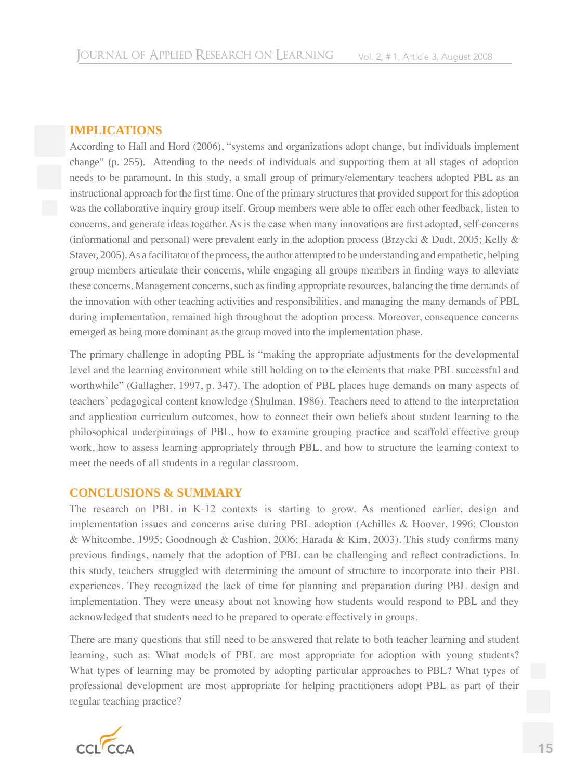### **IMPLICATIONS**

According to Hall and Hord (2006), "systems and organizations adopt change, but individuals implement change" (p. 255). Attending to the needs of individuals and supporting them at all stages of adoption needs to be paramount. In this study, a small group of primary/elementary teachers adopted PBL as an instructional approach for the first time. One of the primary structures that provided support for this adoption was the collaborative inquiry group itself. Group members were able to offer each other feedback, listen to concerns, and generate ideas together. As is the case when many innovations are first adopted, self-concerns (informational and personal) were prevalent early in the adoption process (Brzycki & Dudt, 2005; Kelly & Staver, 2005). As a facilitator of the process, the author attempted to be understanding and empathetic, helping group members articulate their concerns, while engaging all groups members in finding ways to alleviate these concerns. Management concerns, such as finding appropriate resources, balancing the time demands of the innovation with other teaching activities and responsibilities, and managing the many demands of PBL during implementation, remained high throughout the adoption process. Moreover, consequence concerns emerged as being more dominant as the group moved into the implementation phase.

The primary challenge in adopting PBL is "making the appropriate adjustments for the developmental level and the learning environment while still holding on to the elements that make PBL successful and worthwhile" (Gallagher, 1997, p. 347). The adoption of PBL places huge demands on many aspects of teachers' pedagogical content knowledge (Shulman, 1986). Teachers need to attend to the interpretation and application curriculum outcomes, how to connect their own beliefs about student learning to the philosophical underpinnings of PBL, how to examine grouping practice and scaffold effective group work, how to assess learning appropriately through PBL, and how to structure the learning context to meet the needs of all students in a regular classroom.

### **CONCLUSIONS & SUMMARY**

The research on PBL in K-12 contexts is starting to grow. As mentioned earlier, design and implementation issues and concerns arise during PBL adoption (Achilles & Hoover, 1996; Clouston & Whitcombe, 1995; Goodnough & Cashion, 2006; Harada & Kim, 2003). This study confirms many previous findings, namely that the adoption of PBL can be challenging and reflect contradictions. In this study, teachers struggled with determining the amount of structure to incorporate into their PBL experiences. They recognized the lack of time for planning and preparation during PBL design and implementation. They were uneasy about not knowing how students would respond to PBL and they acknowledged that students need to be prepared to operate effectively in groups.

There are many questions that still need to be answered that relate to both teacher learning and student learning, such as: What models of PBL are most appropriate for adoption with young students? What types of learning may be promoted by adopting particular approaches to PBL? What types of professional development are most appropriate for helping practitioners adopt PBL as part of their regular teaching practice?

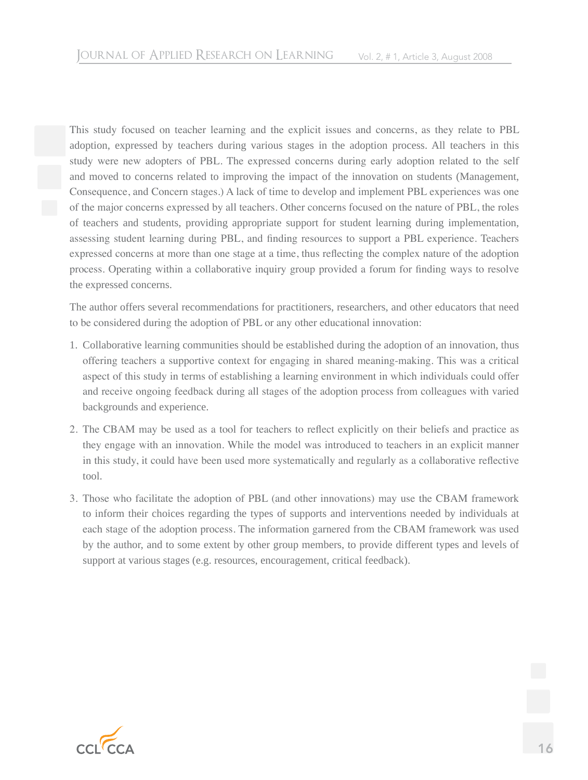This study focused on teacher learning and the explicit issues and concerns, as they relate to PBL adoption, expressed by teachers during various stages in the adoption process. All teachers in this study were new adopters of PBL. The expressed concerns during early adoption related to the self and moved to concerns related to improving the impact of the innovation on students (Management, Consequence, and Concern stages.) A lack of time to develop and implement PBL experiences was one of the major concerns expressed by all teachers. Other concerns focused on the nature of PBL, the roles of teachers and students, providing appropriate support for student learning during implementation, assessing student learning during PBL, and finding resources to support a PBL experience. Teachers expressed concerns at more than one stage at a time, thus reflecting the complex nature of the adoption process. Operating within a collaborative inquiry group provided a forum for finding ways to resolve the expressed concerns.

The author offers several recommendations for practitioners, researchers, and other educators that need to be considered during the adoption of PBL or any other educational innovation:

- 1. Collaborative learning communities should be established during the adoption of an innovation, thus offering teachers a supportive context for engaging in shared meaning-making. This was a critical aspect of this study in terms of establishing a learning environment in which individuals could offer and receive ongoing feedback during all stages of the adoption process from colleagues with varied backgrounds and experience.
- 2. The CBAM may be used as a tool for teachers to reflect explicitly on their beliefs and practice as they engage with an innovation. While the model was introduced to teachers in an explicit manner in this study, it could have been used more systematically and regularly as a collaborative reflective tool.
- 3. Those who facilitate the adoption of PBL (and other innovations) may use the CBAM framework to inform their choices regarding the types of supports and interventions needed by individuals at each stage of the adoption process. The information garnered from the CBAM framework was used by the author, and to some extent by other group members, to provide different types and levels of support at various stages (e.g. resources, encouragement, critical feedback).

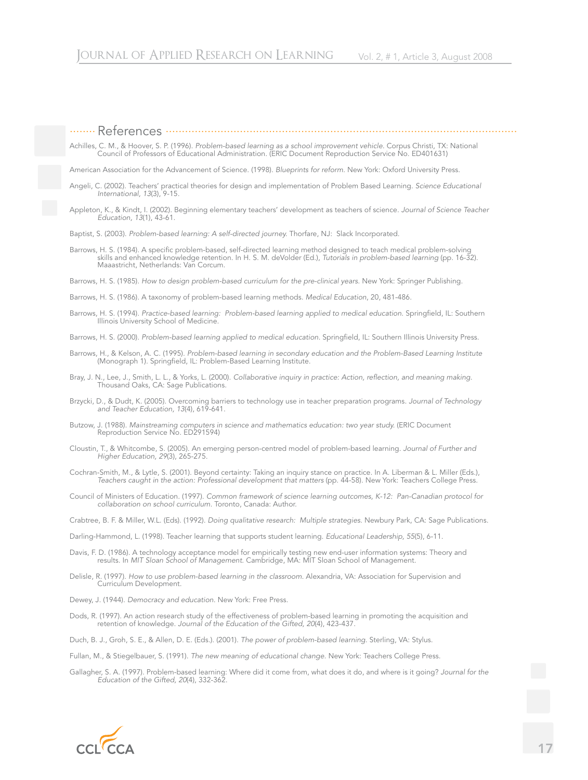........ References .............................................................................................................

Achilles, C. M., & Hoover, S. P. (1996). *Problem-based learning as a school improvement vehicle.* Corpus Christi, TX: National Council of Professors of Educational Administration. (ERIC Document Reproduction Service No. ED401631)

American Association for the Advancement of Science. (1998). *Blueprints for reform.* New York: Oxford University Press.

Angeli, C. (2002). Teachers' practical theories for design and implementation of Problem Based Learning. *Science Educational International, 13*(3), 9-15.

Appleton, K., & Kindt, I. (2002). Beginning elementary teachers' development as teachers of science. *Journal of Science Teacher Education, 13*(1), 43-61.

Baptist, S. (2003). *Problem-based learning: A self-directed journey.* Thorfare, NJ: Slack Incorporated.

Barrows, H. S. (1984). A specific problem-based, self-directed learning method designed to teach medical problem-solving skills and enhanced knowledge retention. In H. S. M. deVolder (Ed.), *Tutorials in problem-based learning* (pp. 16-32). Maaastricht, Netherlands: Van Corcum.

Barrows, H. S. (1985). *How to design problem-based curriculum for the pre-clinical years.* New York: Springer Publishing.

Barrows, H. S. (1986). A taxonomy of problem-based learning methods. *Medical Education*, 20, 481-486.

Barrows, H. S. (1994). *Practice-based learning: Problem-based learning applied to medical education.* Springfield, IL: Southern Illinois University School of Medicine.

Barrows, H. S. (2000). *Problem-based learning applied to medical education.* Springfield, IL: Southern Illinois University Press.

Barrows, H., & Kelson, A. C. (1995). *Problem-based learning in secondary education and the Problem-Based Learning Institute* (Monograph 1). Springfield, IL: Problem-Based Learning Institute.

Bray, J. N., Lee, J., Smith, L. L., & Yorks, L. (2000). *Collaborative inquiry in practice: Action, reflection, and meaning making*. Thousand Oaks, CA: Sage Publications.

- Brzycki, D., & Dudt, K. (2005). Overcoming barriers to technology use in teacher preparation programs. *Journal of Technology and Teacher Education, 13*(4), 619-641.
- Butzow, J. (1988). *Mainstreaming computers in science and mathematics education: two year study.* (ERIC Document Reproduction Service No. ED291594)
- Cloustin, T., & Whitcombe, S. (2005). An emerging person-centred model of problem-based learning. *Journal of Further and Higher Education, 29*(3), 265-275.
- Cochran-Smith, M., & Lytle, S. (2001). Beyond certainty: Taking an inquiry stance on practice. In A. Liberman & L. Miller (Eds.), *Teachers caught in the action: Professional development that matters* (pp. 44-58). New York: Teachers College Press.
- Council of Ministers of Education. (1997). *Common framework of science learning outcomes, K-12: Pan-Canadian protocol for collaboration on school curriculum.* Toronto, Canada: Author.

Crabtree, B. F. & Miller, W.L. (Eds). (1992). *Doing qualitative research: Multiple strategies.* Newbury Park, CA: Sage Publications.

Darling-Hammond, L. (1998). Teacher learning that supports student learning. *Educational Leadership, 55*(5), 6-11.

Davis, F. D. (1986). A technology acceptance model for empirically testing new end-user information systems: Theory and results. In *MIT Sloan School of Management*. Cambridge, MA: MIT Sloan School of Management.

Delisle, R. (1997). *How to use problem-based learning in the classroom.* Alexandria, VA: Association for Supervision and Curriculum Development.

Dewey, J. (1944). *Democracy and education*. New York: Free Press.

Dods, R. (1997). An action research study of the effectiveness of problem-based learning in promoting the acquisition and retention of knowledge. *Journal of the Education of the Gifted, 20*(4), 423-437.

Duch, B. J., Groh, S. E., & Allen, D. E. (Eds.). (2001). *The power of problem-based learning.* Sterling, VA: Stylus.

Fullan, M., & Stiegelbauer, S. (1991). *The new meaning of educational change.* New York: Teachers College Press.

Gallagher, S. A. (1997). Problem-based learning: Where did it come from, what does it do, and where is it going? *Journal for the Education of the Gifted, 20*(4), 332-362.

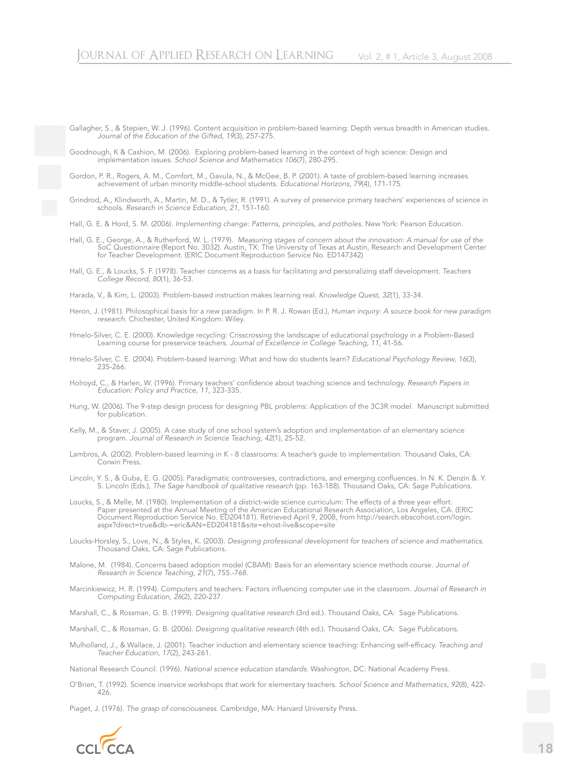Gallagher, S., & Stepien, W. J. (1996). Content acquisition in problem-based learning: Depth versus breadth in American studies. *Journal of the Education of the Gifted, 19*(3), 257-275.

Goodnough, K & Cashion, M. (2006). Exploring problem-based learning in the context of high science: Design and implementation issues. *School Science and Mathematics 106*(7), 280-295.

Gordon, P. R., Rogers, A. M., Comfort, M., Gavula, N., & McGee, B. P. (2001). A taste of problem-based learning increases achievement of urban minority middle-school students. *Educational Horizons, 79*(4), 171-175.

Grindrod, A., Klindworth, A., Martin, M. D., & Tytler, R. (1991). A survey of preservice primary teachers' experiences of science in schools. *Research in Science Education, 21*, 151-160.

Hall, G. E. & Hord, S. M. (2006). *Implementing change: Patterns, principles, and potholes.* New York: Pearson Education.

- Hall, G. E., George, A., & Rutherford, W. L. (1979). *Measuring stages of concern about the innovation: A manual for use of the SoC Questionnaire* (Report No. 3032). Austin, TX: The University of Texas at Austin, Research and Development Center for Teacher Development. (ERIC Document Reproduction Service No. ED147342)
- Hall, G. E., & Loucks, S. F. (1978). Teacher concerns as a basis for facilitating and personalizing staff development. *Teachers College Record, 80*(1), 36-53.

Harada, V., & Kim, L. (2003). Problem-based instruction makes learning real. *Knowledge Quest, 32*(1), 33-34.

- Heron, J. (1981). Philosophical basis for a new paradigm. In P. R. J. Rowan (Ed.), *Human inquiry: A source book for new paradigm research*. Chichester, United Kingdom: Wiley.
- Hmelo-Silver, C. E. (2000). Knowledge recycling: Crisscrossing the landscape of educational psychology in a Problem-Based Learning course for preservice teachers. *Journal of Excellence in College Teaching, 11*, 41-56.

Hmelo-Silver, C. E. (2004). Problem-based learning: What and how do students learn? *Educational Psychology Review, 16*(3), 235-266.

Holroyd, C., & Harlen, W. (1996). Primary teachers' confidence about teaching science and technology. *Research Papers in Education: Policy and Practice, 11*, 323-335.

- Hung, W. (2006). The 9-step design process for designing PBL problems: Application of the 3C3R model. Manuscript submitted for publication.
- Kelly, M., & Staver, J. (2005). A case study of one school system's adoption and implementation of an elementary science program. *Journal of Research in Science Teaching, 42*(1), 25-52.
- Lambros, A. (2002). Problem-based learning in K 8 classrooms: A teacher's guide to implementation. Thousand Oaks, CA: Corwin Press.

Lincoln, Y. S., & Guba, E. G. (2005). Paradigmatic controversies, contradictions, and emerging confluences. In N. K. Denzin &. Y. S. Lincoln (Eds.), *The Sage handbook of qualitative research* (pp. 163-188). Thousand Oaks, CA: Sage Publications.

Loucks, S., & Melle, M. (1980). Implementation of a district-wide science curriculum: The effects of a three year effort. Paper presented at the Annual Meeting of the American Educational Research Association, Los Angeles, CA. (ERIC Document Reproduction Service No. ED204181). Retrieved April 9, 2008, from http://search.ebscohost.com/login. aspx?direct=true&db-=eric&AN=ED204181&site=ehost-live&scope=site

Loucks-Horsley, S., Love, N., & Styles, K. (2003). *Designing professional development for teachers of science and mathematics.* Thousand Oaks, CA: Sage Publications.

- Malone, M. (1984). Concerns based adoption model (CBAM): Basis for an elementary science methods course. *Journal of Research in Science Teaching, 21*(7), 755.-768.
- Marcinkiewicz, H. R. (1994). Computers and teachers: Factors influencing computer use in the classroom. *Journal of Research in Computing Education, 26*(2), 220-237.
- Marshall, C., & Rossman, G. B. (1999). *Designing qualitative research* (3rd ed.). Thousand Oaks, CA: Sage Publications.
- Marshall, C., & Rossman, G. B. (2006). *Designing qualitative research* (4th ed.). Thousand Oaks, CA: Sage Publications.
- Mulholland, J., & Wallace, J. (2001). Teacher induction and elementary science teaching: Enhancing self-efficacy. *Teaching and Teacher Education, 17*(2), 243-261.

National Research Council. (1996). *National science education standards.* Washington, DC: National Academy Press.

O'Brien, T. (1992). Science inservice workshops that work for elementary teachers. *School Science and Mathematics, 92*(8), 422- 426.

Piaget, J. (1976). *The grasp of consciousness.* Cambridge, MA: Harvard University Press.

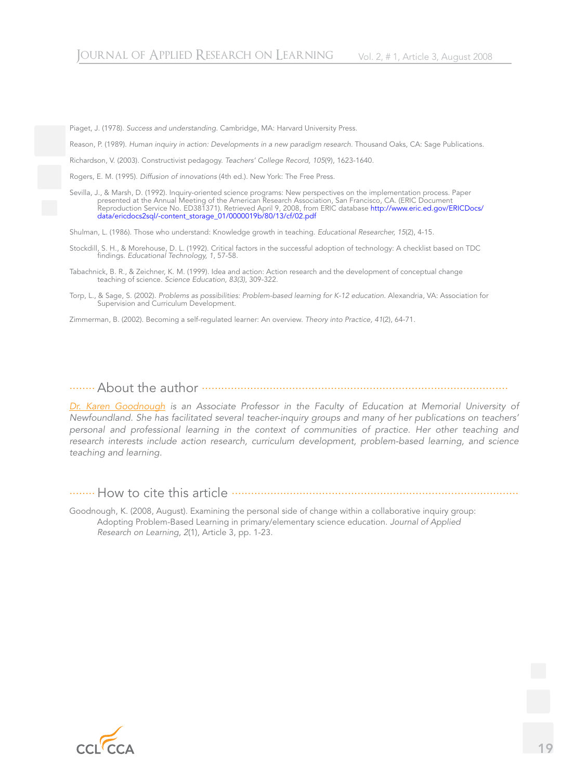Piaget, J. (1978). *Success and understanding.* Cambridge, MA: Harvard University Press.

Reason, P. (1989). *Human inquiry in action: Developments in a new paradigm research.* Thousand Oaks, CA: Sage Publications.

Richardson, V. (2003). Constructivist pedagogy. *Teachers' College Record, 105*(9), 1623-1640.

Rogers, E. M. (1995). *Diffusion of innovations* (4th ed.). New York: The Free Press.

Sevilla, J., & Marsh, D. (1992). Inquiry-oriented science programs: New perspectives on the implementation process. Paper presented at the Annual Meeting of the American Research Association, San Francisco, CA. (ERIC Document Reproduction Service No. ED381371). Retrieved April 9, 2008, from ERIC database http://www.eric.ed.gov/ERICDocs/ data/ericdocs2sql/-content\_storage\_01/0000019b/80/13/cf/02.pdf

Shulman, L. (1986). Those who understand: Knowledge growth in teaching. *Educational Researcher, 15*(2), 4-15.

Stockdill, S. H., & Morehouse, D. L. (1992). Critical factors in the successful adoption of technology: A checklist based on TDC findings. *Educational Technology, 1*, 57-58.

Tabachnick, B. R., & Zeichner, K. M. (1999). Idea and action: Action research and the development of conceptual change teaching of science. *Science Education, 83(3)*, 309-322.

Torp, L., & Sage, S. (2002). *Problems as possibilities: Problem-based learning for K-12 education.* Alexandria, VA: Association for Supervision and Curriculum Development.

Zimmerman, B. (2002). Becoming a self-regulated learner: An overview. *Theory into Practice, 41*(2), 64-71.

........About the author ...............................................................................................

*Dr. Karen Goodnough is an Associate Professor in the Faculty of Education at Memorial University of Newfoundland. She has facilitated several teacher-inquiry groups and many of her publications on teachers' personal and professional learning in the context of communities of practice. Her other teaching and research interests include action research, curriculum development, problem-based learning, and science teaching and learning.*

........ How to cite this article .........................................................................................

Goodnough, K. (2008, August). Examining the personal side of change within a collaborative inquiry group: Adopting Problem-Based Learning in primary/elementary science education. *Journal of Applied Research on Learning*, *2*(1), Article 3, pp. 1-23.

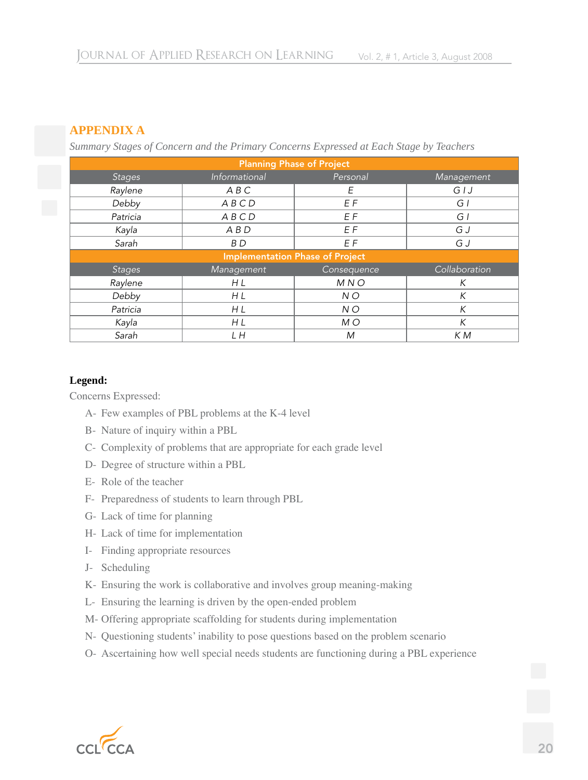## **APPENDIX A**

*Summary Stages of Concern and the Primary Concerns Expressed at Each Stage by Teachers*

| <b>Planning Phase of Project</b>       |                |             |               |
|----------------------------------------|----------------|-------------|---------------|
| <b>Stages</b>                          | Informational  | Personal    | Management    |
| Raylene                                | ABC            | E           | GJ            |
| Debby                                  | ABCD           | EF          | GI            |
| Patricia                               | ABCD           | EF          | GI            |
| Kayla                                  | $A$ $B$ $D$    | EF          | G J           |
| Sarah                                  | B <sub>D</sub> | EF          | G J           |
| <b>Implementation Phase of Project</b> |                |             |               |
| <b>Stages</b>                          | Management     | Consequence | Collaboration |
| Raylene                                | H L            | MNO         | К             |
| Debby                                  | H L            | NO          | $\mathsf{K}$  |
| Patricia                               | H L            | NO          | $\sf K$       |
| Kayla                                  | H L            | M O         | K             |
| Sarah                                  | L H            | M           | K M           |

### **Legend:**

Concerns Expressed:

- A- Few examples of PBL problems at the K-4 level
- B- Nature of inquiry within a PBL
- C- Complexity of problems that are appropriate for each grade level
- D- Degree of structure within a PBL
- E- Role of the teacher
- F- Preparedness of students to learn through PBL
- G- Lack of time for planning
- H- Lack of time for implementation
- I- Finding appropriate resources
- J- Scheduling
- K- Ensuring the work is collaborative and involves group meaning-making
- L- Ensuring the learning is driven by the open-ended problem
- M- Offering appropriate scaffolding for students during implementation
- N- Questioning students' inability to pose questions based on the problem scenario
- O- Ascertaining how well special needs students are functioning during a PBL experience

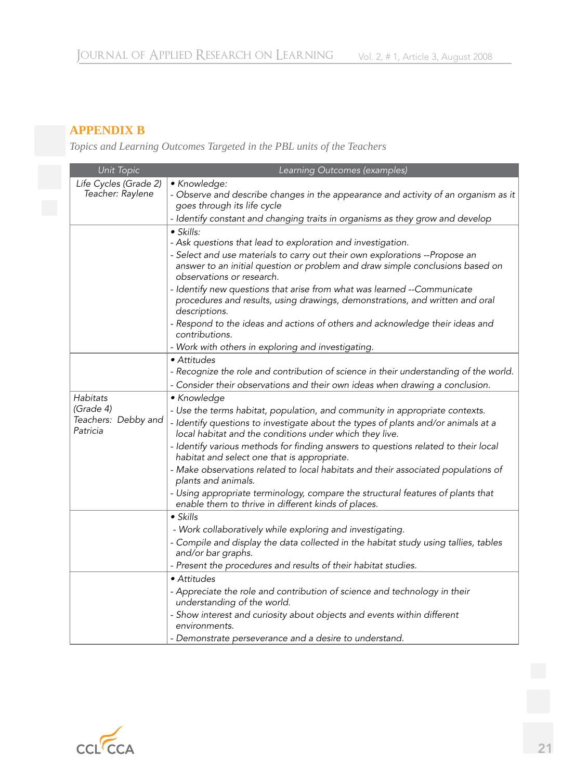# **APPENDIX B**

*Topics and Learning Outcomes Targeted in the PBL units of the Teachers*

| Unit Topic                      | Learning Outcomes (examples)                                                                                                                 |
|---------------------------------|----------------------------------------------------------------------------------------------------------------------------------------------|
| Life Cycles (Grade 2)           | • Knowledge:                                                                                                                                 |
| Teacher: Raylene                | - Observe and describe changes in the appearance and activity of an organism as it                                                           |
|                                 | goes through its life cycle                                                                                                                  |
|                                 | - Identify constant and changing traits in organisms as they grow and develop                                                                |
|                                 | $\bullet$ Skills:                                                                                                                            |
|                                 | - Ask questions that lead to exploration and investigation.                                                                                  |
|                                 | - Select and use materials to carry out their own explorations -- Propose an                                                                 |
|                                 | answer to an initial question or problem and draw simple conclusions based on<br>observations or research.                                   |
|                                 | - Identify new questions that arise from what was learned --Communicate                                                                      |
|                                 | procedures and results, using drawings, demonstrations, and written and oral<br>descriptions.                                                |
|                                 | - Respond to the ideas and actions of others and acknowledge their ideas and<br>contributions.                                               |
|                                 | - Work with others in exploring and investigating.                                                                                           |
|                                 | • Attitudes                                                                                                                                  |
|                                 | - Recognize the role and contribution of science in their understanding of the world.                                                        |
|                                 | - Consider their observations and their own ideas when drawing a conclusion.                                                                 |
| <b>Habitats</b>                 | • Knowledge                                                                                                                                  |
| (Grade 4)                       | - Use the terms habitat, population, and community in appropriate contexts.                                                                  |
| Teachers: Debby and<br>Patricia | - Identify questions to investigate about the types of plants and/or animals at a<br>local habitat and the conditions under which they live. |
|                                 | - Identify various methods for finding answers to questions related to their local<br>habitat and select one that is appropriate.            |
|                                 | - Make observations related to local habitats and their associated populations of<br>plants and animals.                                     |
|                                 | - Using appropriate terminology, compare the structural features of plants that<br>enable them to thrive in different kinds of places.       |
|                                 | $\bullet$ Skills                                                                                                                             |
|                                 | - Work collaboratively while exploring and investigating.                                                                                    |
|                                 | - Compile and display the data collected in the habitat study using tallies, tables                                                          |
|                                 | and/or bar graphs.                                                                                                                           |
|                                 | - Present the procedures and results of their habitat studies.                                                                               |
|                                 | • Attitudes                                                                                                                                  |
|                                 | - Appreciate the role and contribution of science and technology in their<br>understanding of the world.                                     |
|                                 | - Show interest and curiosity about objects and events within different                                                                      |
|                                 | environments.                                                                                                                                |
|                                 | - Demonstrate perseverance and a desire to understand.                                                                                       |

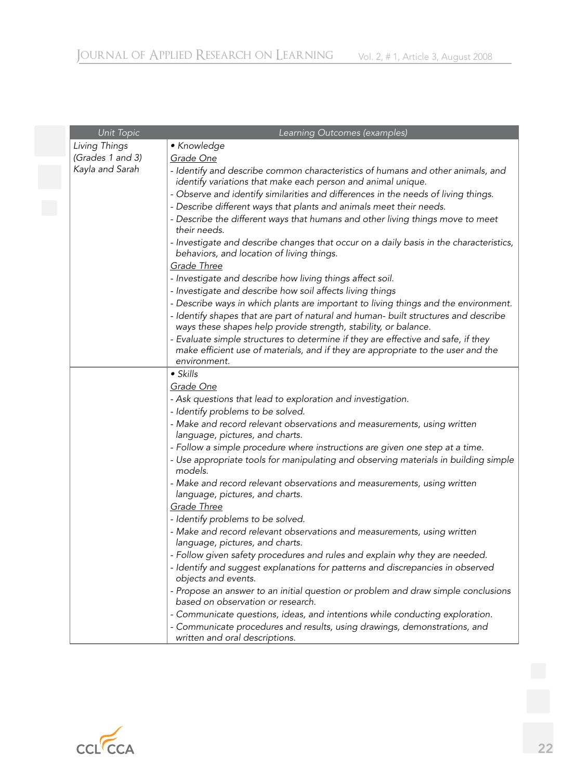| Unit Topic       | Learning Outcomes (examples)                                                                                                                                                                                                                                                                                                                                                                                                                                                                                                                                                                                                      |
|------------------|-----------------------------------------------------------------------------------------------------------------------------------------------------------------------------------------------------------------------------------------------------------------------------------------------------------------------------------------------------------------------------------------------------------------------------------------------------------------------------------------------------------------------------------------------------------------------------------------------------------------------------------|
| Living Things    | • Knowledge                                                                                                                                                                                                                                                                                                                                                                                                                                                                                                                                                                                                                       |
| (Grades 1 and 3) | Grade One                                                                                                                                                                                                                                                                                                                                                                                                                                                                                                                                                                                                                         |
| Kayla and Sarah  | - Identify and describe common characteristics of humans and other animals, and<br>identify variations that make each person and animal unique.<br>- Observe and identify similarities and differences in the needs of living things.<br>- Describe different ways that plants and animals meet their needs.<br>- Describe the different ways that humans and other living things move to meet<br>their needs.<br>- Investigate and describe changes that occur on a daily basis in the characteristics,<br>behaviors, and location of living things.<br>Grade Three<br>- Investigate and describe how living things affect soil. |
|                  | - Investigate and describe how soil affects living things                                                                                                                                                                                                                                                                                                                                                                                                                                                                                                                                                                         |
|                  | - Describe ways in which plants are important to living things and the environment.<br>- Identify shapes that are part of natural and human- built structures and describe<br>ways these shapes help provide strength, stability, or balance.<br>- Evaluate simple structures to determine if they are effective and safe, if they<br>make efficient use of materials, and if they are appropriate to the user and the<br>environment.                                                                                                                                                                                            |
|                  | $\bullet$ Skills                                                                                                                                                                                                                                                                                                                                                                                                                                                                                                                                                                                                                  |
|                  | Grade One<br>- Ask questions that lead to exploration and investigation.<br>- Identify problems to be solved.                                                                                                                                                                                                                                                                                                                                                                                                                                                                                                                     |
|                  | - Make and record relevant observations and measurements, using written<br>language, pictures, and charts.                                                                                                                                                                                                                                                                                                                                                                                                                                                                                                                        |
|                  | - Follow a simple procedure where instructions are given one step at a time.<br>- Use appropriate tools for manipulating and observing materials in building simple<br>models.                                                                                                                                                                                                                                                                                                                                                                                                                                                    |
|                  | - Make and record relevant observations and measurements, using written<br>language, pictures, and charts.<br><b>Grade Three</b>                                                                                                                                                                                                                                                                                                                                                                                                                                                                                                  |
|                  | - Identify problems to be solved.                                                                                                                                                                                                                                                                                                                                                                                                                                                                                                                                                                                                 |
|                  | - Make and record relevant observations and measurements, using written<br>language, pictures, and charts.                                                                                                                                                                                                                                                                                                                                                                                                                                                                                                                        |
|                  | - Follow given safety procedures and rules and explain why they are needed.                                                                                                                                                                                                                                                                                                                                                                                                                                                                                                                                                       |
|                  | - Identify and suggest explanations for patterns and discrepancies in observed<br>objects and events.                                                                                                                                                                                                                                                                                                                                                                                                                                                                                                                             |
|                  | - Propose an answer to an initial question or problem and draw simple conclusions<br>based on observation or research.                                                                                                                                                                                                                                                                                                                                                                                                                                                                                                            |
|                  | - Communicate questions, ideas, and intentions while conducting exploration.                                                                                                                                                                                                                                                                                                                                                                                                                                                                                                                                                      |
|                  | - Communicate procedures and results, using drawings, demonstrations, and<br>written and oral descriptions.                                                                                                                                                                                                                                                                                                                                                                                                                                                                                                                       |